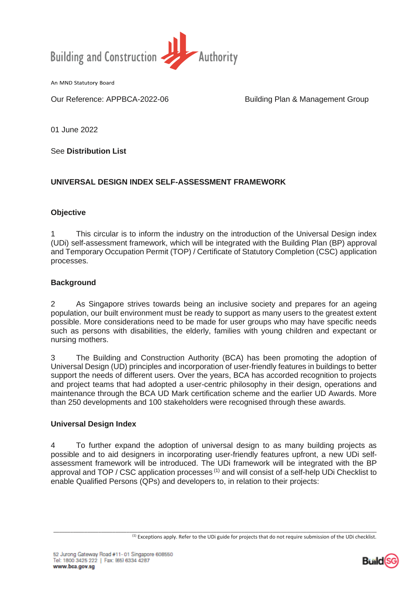

An MND Statutory Board

Our Reference: APPBCA-2022-06 Building Plan & Management Group

01 June 2022

See **Distribution List**

### **UNIVERSAL DESIGN INDEX SELF-ASSESSMENT FRAMEWORK**

### **Objective**

1 This circular is to inform the industry on the introduction of the Universal Design index (UDi) self-assessment framework, which will be integrated with the Building Plan (BP) approval and Temporary Occupation Permit (TOP) / Certificate of Statutory Completion (CSC) application processes.

### **Background**

2 As Singapore strives towards being an inclusive society and prepares for an ageing population, our built environment must be ready to support as many users to the greatest extent possible. More considerations need to be made for user groups who may have specific needs such as persons with disabilities, the elderly, families with young children and expectant or nursing mothers.

3 The Building and Construction Authority (BCA) has been promoting the adoption of Universal Design (UD) principles and incorporation of user-friendly features in buildings to better support the needs of different users. Over the years, BCA has accorded recognition to projects and project teams that had adopted a user-centric philosophy in their design, operations and maintenance through the BCA UD Mark certification scheme and the earlier UD Awards. More than 250 developments and 100 stakeholders were recognised through these awards.

### **Universal Design Index**

4 To further expand the adoption of universal design to as many building projects as possible and to aid designers in incorporating user-friendly features upfront, a new UDi selfassessment framework will be introduced. The UDi framework will be integrated with the BP approval and TOP / CSC application processes<sup>(1)</sup> and will consist of a self-help UDi Checklist to enable Qualified Persons (QPs) and developers to, in relation to their projects:

\_\_\_\_\_\_\_\_\_\_\_\_\_\_\_\_\_\_\_\_\_\_\_\_\_\_\_\_\_\_\_\_\_\_\_\_\_\_\_\_\_\_\_\_\_\_\_\_\_\_\_\_\_\_\_\_\_\_\_\_\_\_\_\_\_\_\_\_\_\_\_\_\_\_\_\_\_\_\_\_\_\_\_\_\_\_\_\_\_\_\_\_\_\_\_\_\_\_\_\_\_\_\_\_\_\_\_\_\_\_\_\_\_\_\_



<sup>(1)</sup> Exceptions apply. Refer to the UDi guide for projects that do not require submission of the UDi checklist.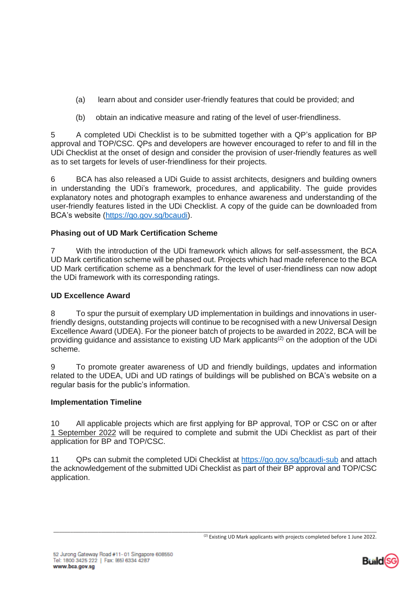- (a) learn about and consider user-friendly features that could be provided; and
- (b) obtain an indicative measure and rating of the level of user-friendliness.

5 A completed UDi Checklist is to be submitted together with a QP's application for BP approval and TOP/CSC. QPs and developers are however encouraged to refer to and fill in the UDi Checklist at the onset of design and consider the provision of user-friendly features as well as to set targets for levels of user-friendliness for their projects.

6 BCA has also released a UDi Guide to assist architects, designers and building owners in understanding the UDi's framework, procedures, and applicability. The guide provides explanatory notes and photograph examples to enhance awareness and understanding of the user-friendly features listed in the UDi Checklist. A copy of the guide can be downloaded from BCA's website [\(https://go.gov.sg/bcaudi\)](https://go.gov.sg/bcaudi).

# **Phasing out of UD Mark Certification Scheme**

7 With the introduction of the UDi framework which allows for self-assessment, the BCA UD Mark certification scheme will be phased out. Projects which had made reference to the BCA UD Mark certification scheme as a benchmark for the level of user-friendliness can now adopt the UDi framework with its corresponding ratings.

## **UD Excellence Award**

8 To spur the pursuit of exemplary UD implementation in buildings and innovations in userfriendly designs, outstanding projects will continue to be recognised with a new Universal Design Excellence Award (UDEA). For the pioneer batch of projects to be awarded in 2022, BCA will be providing guidance and assistance to existing UD Mark applicants(2) on the adoption of the UDi scheme.

9 To promote greater awareness of UD and friendly buildings, updates and information related to the UDEA, UDi and UD ratings of buildings will be published on BCA's website on a regular basis for the public's information.

### **Implementation Timeline**

10 All applicable projects which are first applying for BP approval, TOP or CSC on or after 1 September 2022 will be required to complete and submit the UDi Checklist as part of their application for BP and TOP/CSC.

11 QPs can submit the completed UDi Checklist at<https://go.gov.sg/bcaudi-sub> and attach the acknowledgement of the submitted UDi Checklist as part of their BP approval and TOP/CSC application.



\_\_\_\_\_\_\_\_\_\_\_\_\_\_\_\_\_\_\_\_\_\_\_\_\_\_\_\_\_\_\_\_\_\_\_\_\_\_\_\_\_\_\_\_\_\_\_\_\_\_\_\_\_\_\_\_\_\_\_\_\_\_\_\_\_\_\_\_\_\_\_\_\_\_\_\_\_\_\_\_\_\_\_\_\_\_\_\_\_\_\_\_\_\_\_\_\_\_\_\_\_\_\_\_\_\_\_\_\_\_\_\_\_\_\_ <sup>(2)</sup> Existing UD Mark applicants with projects completed before 1 June 2022.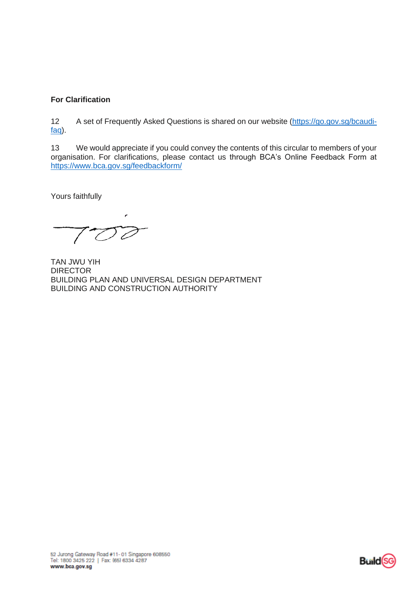# **For Clarification**

12 A set of Frequently Asked Questions is shared on our website [\(https://go.gov.sg/bcaudi](https://go.gov.sg/bcaudi-faq)[faq\)](https://go.gov.sg/bcaudi-faq).

13 We would appreciate if you could convey the contents of this circular to members of your organisation. For clarifications, please contact us through BCA's Online Feedback Form at <https://www.bca.gov.sg/feedbackform/>

Yours faithfully

 $700$ 

TAN JWU YIH DIRECTOR BUILDING PLAN AND UNIVERSAL DESIGN DEPARTMENT BUILDING AND CONSTRUCTION AUTHORITY

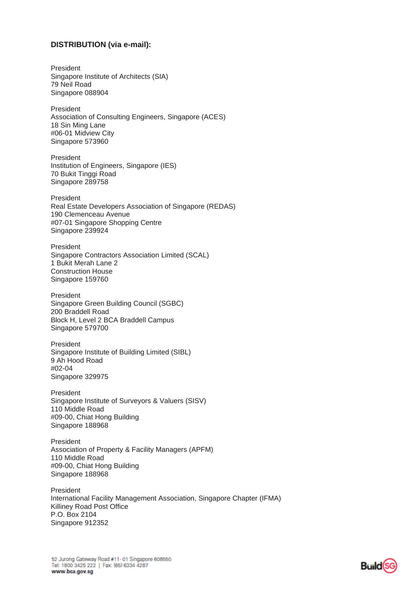### **DISTRIBUTION (via e-mail):**

President Singapore Institute of Architects (SIA) 79 Neil Road Singapore 088904 President Association of Consulting Engineers, Singapore (ACES) 18 Sin Ming Lane #06-01 Midview City Singapore 573960 President Institution of Engineers, Singapore (IES) 70 Bukit Tinggi Road Singapore 289758 President Real Estate Developers Association of Singapore (REDAS) 190 Clemenceau Avenue #07-01 Singapore Shopping Centre Singapore 239924 President Singapore Contractors Association Limited (SCAL) 1 Bukit Merah Lane 2 Construction House Singapore 159760 President Singapore Green Building Council (SGBC) 200 Braddell Road Block H, Level 2 BCA Braddell Campus Singapore 579700 President Singapore Institute of Building Limited (SIBL) 9 Ah Hood Road #02-04 Singapore 329975 President Singapore Institute of Surveyors & Valuers (SISV) 110 Middle Road #09-00, Chiat Hong Building Singapore 188968 President Association of Property & Facility Managers (APFM) 110 Middle Road #09-00, Chiat Hong Building Singapore 188968 President International Facility Management Association, Singapore Chapter (IFMA) Killiney Road Post Office P.O. Box 2104 Singapore 912352

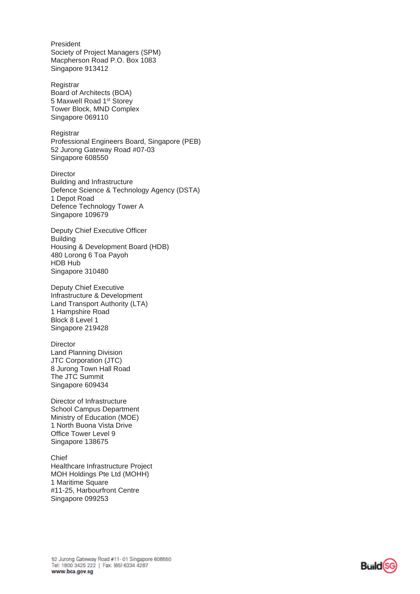President Society of Project Managers (SPM) Macpherson Road P.O. Box 1083 Singapore 913412

Registrar Board of Architects (BOA) 5 Maxwell Road 1st Storey Tower Block, MND Complex Singapore 069110

Registrar Professional Engineers Board, Singapore (PEB) 52 Jurong Gateway Road #07-03 Singapore 608550

Director Building and Infrastructure Defence Science & Technology Agency (DSTA) 1 Depot Road Defence Technology Tower A Singapore 109679

Deputy Chief Executive Officer Building Housing & Development Board (HDB) 480 Lorong 6 Toa Payoh HDB Hub Singapore 310480

Deputy Chief Executive Infrastructure & Development Land Transport Authority (LTA) 1 Hampshire Road Block 8 Level 1 Singapore 219428

**Director** Land Planning Division JTC Corporation (JTC) 8 Jurong Town Hall Road The JTC Summit Singapore 609434

Director of Infrastructure School Campus Department Ministry of Education (MOE) 1 North Buona Vista Drive Office Tower Level 9 Singapore 138675

Chief Healthcare Infrastructure Project MOH Holdings Pte Ltd (MOHH) 1 Maritime Square #11-25, Harbourfront Centre Singapore 099253